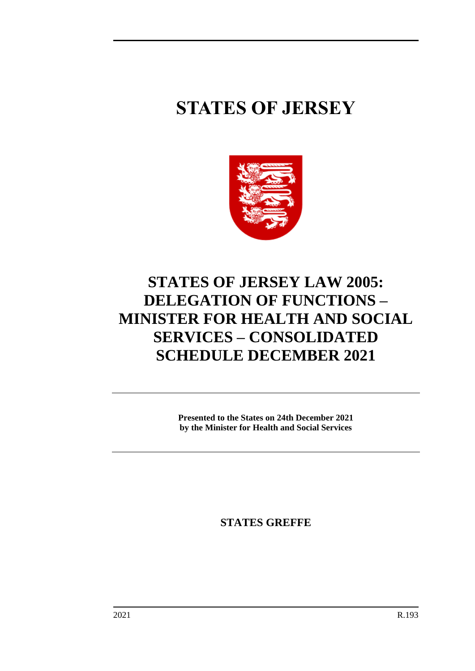# **STATES OF JERSEY**



# **STATES OF JERSEY LAW 2005: DELEGATION OF FUNCTIONS – MINISTER FOR HEALTH AND SOCIAL SERVICES – CONSOLIDATED SCHEDULE DECEMBER 2021**

**Presented to the States on 24th December 2021 by the Minister for Health and Social Services**

**STATES GREFFE**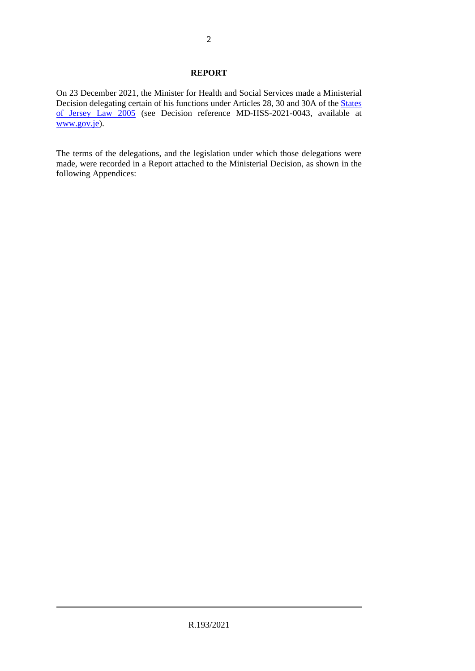#### **REPORT**

On 23 December 2021, the Minister for Health and Social Services made a Ministerial Decision delegating certain of his functions under Articles 28, 30 and 30A of the [States](https://www.jerseylaw.je/laws/unofficialconsolidated/Pages/16.800.aspx)  [of Jersey Law 2005](https://www.jerseylaw.je/laws/unofficialconsolidated/Pages/16.800.aspx) (see Decision reference MD-HSS-2021-0043, available at [www.gov.je\)](http://www.gov.je/).

The terms of the delegations, and the legislation under which those delegations were made, were recorded in a Report attached to the Ministerial Decision, as shown in the following Appendices: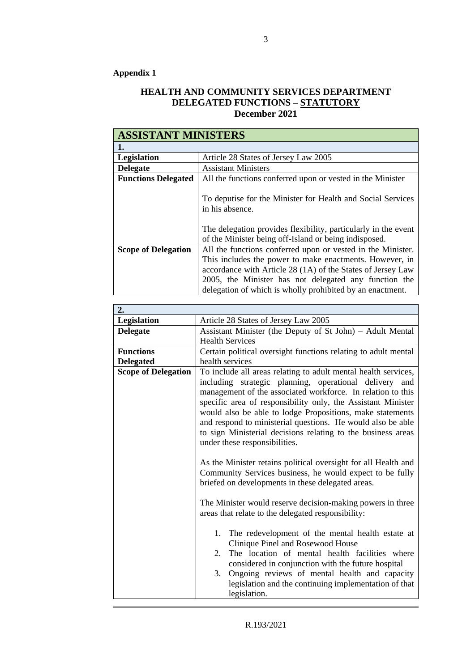# **Appendix 1**

## **HEALTH AND COMMUNITY SERVICES DEPARTMENT DELEGATED FUNCTIONS – STATUTORY December 2021**

| <b>ASSISTANT MINISTERS</b> |                                                                                                                                                                                                                                              |
|----------------------------|----------------------------------------------------------------------------------------------------------------------------------------------------------------------------------------------------------------------------------------------|
| 1.                         |                                                                                                                                                                                                                                              |
| <b>Legislation</b>         | Article 28 States of Jersey Law 2005                                                                                                                                                                                                         |
| <b>Delegate</b>            | <b>Assistant Ministers</b>                                                                                                                                                                                                                   |
| <b>Functions Delegated</b> | All the functions conferred upon or vested in the Minister                                                                                                                                                                                   |
|                            | To deputise for the Minister for Health and Social Services<br>in his absence.                                                                                                                                                               |
|                            | The delegation provides flexibility, particularly in the event<br>of the Minister being off-Island or being indisposed.                                                                                                                      |
| <b>Scope of Delegation</b> | All the functions conferred upon or vested in the Minister.                                                                                                                                                                                  |
|                            | This includes the power to make enactments. However, in<br>accordance with Article 28 (1A) of the States of Jersey Law<br>2005, the Minister has not delegated any function the<br>delegation of which is wholly prohibited by an enactment. |

| 2.                         |                                                                                                                                                                                                                                                                                                                                                                                                                                                                                      |
|----------------------------|--------------------------------------------------------------------------------------------------------------------------------------------------------------------------------------------------------------------------------------------------------------------------------------------------------------------------------------------------------------------------------------------------------------------------------------------------------------------------------------|
| <b>Legislation</b>         | Article 28 States of Jersey Law 2005                                                                                                                                                                                                                                                                                                                                                                                                                                                 |
| <b>Delegate</b>            | Assistant Minister (the Deputy of St John) – Adult Mental                                                                                                                                                                                                                                                                                                                                                                                                                            |
|                            | <b>Health Services</b>                                                                                                                                                                                                                                                                                                                                                                                                                                                               |
| <b>Functions</b>           | Certain political oversight functions relating to adult mental                                                                                                                                                                                                                                                                                                                                                                                                                       |
| <b>Delegated</b>           | health services                                                                                                                                                                                                                                                                                                                                                                                                                                                                      |
| <b>Scope of Delegation</b> | To include all areas relating to adult mental health services,<br>including strategic planning, operational delivery and<br>management of the associated workforce. In relation to this<br>specific area of responsibility only, the Assistant Minister<br>would also be able to lodge Propositions, make statements<br>and respond to ministerial questions. He would also be able<br>to sign Ministerial decisions relating to the business areas<br>under these responsibilities. |
|                            | As the Minister retains political oversight for all Health and<br>Community Services business, he would expect to be fully<br>briefed on developments in these delegated areas.<br>The Minister would reserve decision-making powers in three                                                                                                                                                                                                                                        |
|                            | areas that relate to the delegated responsibility:                                                                                                                                                                                                                                                                                                                                                                                                                                   |
|                            | The redevelopment of the mental health estate at<br>1.<br>Clinique Pinel and Rosewood House<br>The location of mental health facilities where<br>2.<br>considered in conjunction with the future hospital<br>Ongoing reviews of mental health and capacity<br>3.<br>legislation and the continuing implementation of that<br>legislation.                                                                                                                                            |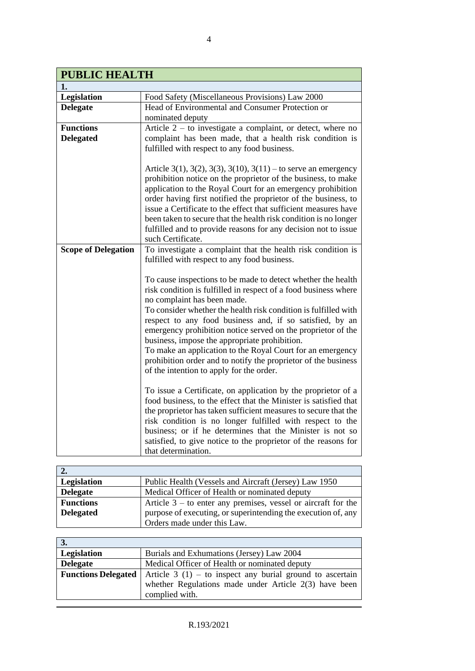| <b>PUBLIC HEALTH</b>       |                                                                                                                                                                                                                                                                                                                                                                                                                                                                                                |
|----------------------------|------------------------------------------------------------------------------------------------------------------------------------------------------------------------------------------------------------------------------------------------------------------------------------------------------------------------------------------------------------------------------------------------------------------------------------------------------------------------------------------------|
| 1.                         |                                                                                                                                                                                                                                                                                                                                                                                                                                                                                                |
| Legislation                | Food Safety (Miscellaneous Provisions) Law 2000                                                                                                                                                                                                                                                                                                                                                                                                                                                |
| <b>Delegate</b>            | Head of Environmental and Consumer Protection or                                                                                                                                                                                                                                                                                                                                                                                                                                               |
|                            | nominated deputy                                                                                                                                                                                                                                                                                                                                                                                                                                                                               |
| <b>Functions</b>           | Article $2 -$ to investigate a complaint, or detect, where no                                                                                                                                                                                                                                                                                                                                                                                                                                  |
| <b>Delegated</b>           | complaint has been made, that a health risk condition is                                                                                                                                                                                                                                                                                                                                                                                                                                       |
|                            | fulfilled with respect to any food business.                                                                                                                                                                                                                                                                                                                                                                                                                                                   |
|                            | Article 3(1), 3(2), 3(3), 3(10), 3(11) – to serve an emergency<br>prohibition notice on the proprietor of the business, to make<br>application to the Royal Court for an emergency prohibition<br>order having first notified the proprietor of the business, to<br>issue a Certificate to the effect that sufficient measures have<br>been taken to secure that the health risk condition is no longer<br>fulfilled and to provide reasons for any decision not to issue<br>such Certificate. |
| <b>Scope of Delegation</b> | To investigate a complaint that the health risk condition is<br>fulfilled with respect to any food business.                                                                                                                                                                                                                                                                                                                                                                                   |
|                            | To cause inspections to be made to detect whether the health<br>risk condition is fulfilled in respect of a food business where<br>no complaint has been made.                                                                                                                                                                                                                                                                                                                                 |
|                            | To consider whether the health risk condition is fulfilled with<br>respect to any food business and, if so satisfied, by an<br>emergency prohibition notice served on the proprietor of the<br>business, impose the appropriate prohibition.<br>To make an application to the Royal Court for an emergency                                                                                                                                                                                     |
|                            | prohibition order and to notify the proprietor of the business<br>of the intention to apply for the order.                                                                                                                                                                                                                                                                                                                                                                                     |
|                            | To issue a Certificate, on application by the proprietor of a<br>food business, to the effect that the Minister is satisfied that<br>the proprietor has taken sufficient measures to secure that the<br>risk condition is no longer fulfilled with respect to the<br>business; or if he determines that the Minister is not so<br>satisfied, to give notice to the proprietor of the reasons for<br>that determination.                                                                        |

| $\overline{2}$ . |                                                                 |
|------------------|-----------------------------------------------------------------|
| Legislation      | Public Health (Vessels and Aircraft (Jersey) Law 1950           |
| <b>Delegate</b>  | Medical Officer of Health or nominated deputy                   |
| <b>Functions</b> | Article $3 -$ to enter any premises, vessel or aircraft for the |
| <b>Delegated</b> | purpose of executing, or superintending the execution of, any   |
|                  | Orders made under this Law.                                     |

| 3.              |                                                                                         |
|-----------------|-----------------------------------------------------------------------------------------|
| Legislation     | Burials and Exhumations (Jersey) Law 2004                                               |
| <b>Delegate</b> | Medical Officer of Health or nominated deputy                                           |
|                 | <b>Functions Delegated</b>   Article $3(1)$ – to inspect any burial ground to ascertain |
|                 | whether Regulations made under Article $2(3)$ have been                                 |
|                 | complied with.                                                                          |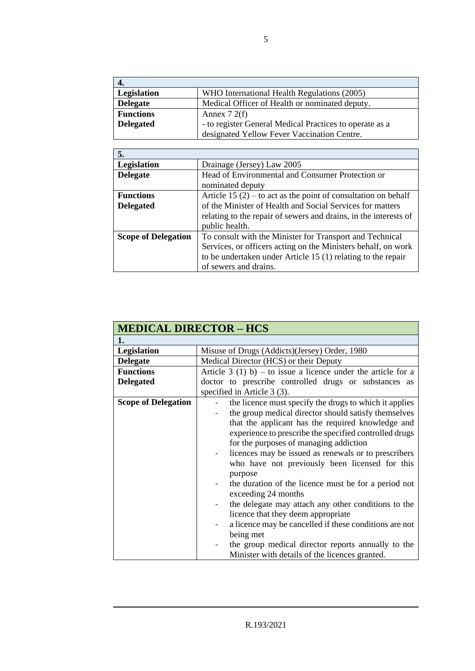| 4.               |                                                         |
|------------------|---------------------------------------------------------|
| Legislation      | WHO International Health Regulations (2005)             |
| <b>Delegate</b>  | Medical Officer of Health or nominated deputy.          |
| <b>Functions</b> | Annex $72(f)$                                           |
| <b>Delegated</b> | - to register General Medical Practices to operate as a |
|                  | designated Yellow Fever Vaccination Centre.             |

| 5.                         |                                                                  |
|----------------------------|------------------------------------------------------------------|
| Legislation                | Drainage (Jersey) Law 2005                                       |
| <b>Delegate</b>            | Head of Environmental and Consumer Protection or                 |
|                            | nominated deputy                                                 |
| <b>Functions</b>           | Article 15 $(2)$ – to act as the point of consultation on behalf |
| <b>Delegated</b>           | of the Minister of Health and Social Services for matters        |
|                            | relating to the repair of sewers and drains, in the interests of |
|                            | public health.                                                   |
| <b>Scope of Delegation</b> | To consult with the Minister for Transport and Technical         |
|                            | Services, or officers acting on the Ministers behalf, on work    |
|                            | to be undertaken under Article 15 (1) relating to the repair     |
|                            | of sewers and drains.                                            |

| <b>MEDICAL DIRECTOR - HCS</b> |                                                                                                                                                                                                                                                                                                                                                                                                                                                                                                                                                                                                                                                                             |
|-------------------------------|-----------------------------------------------------------------------------------------------------------------------------------------------------------------------------------------------------------------------------------------------------------------------------------------------------------------------------------------------------------------------------------------------------------------------------------------------------------------------------------------------------------------------------------------------------------------------------------------------------------------------------------------------------------------------------|
| 1.                            |                                                                                                                                                                                                                                                                                                                                                                                                                                                                                                                                                                                                                                                                             |
| <b>Legislation</b>            | Misuse of Drugs (Addicts)(Jersey) Order, 1980                                                                                                                                                                                                                                                                                                                                                                                                                                                                                                                                                                                                                               |
| <b>Delegate</b>               | Medical Director (HCS) or their Deputy                                                                                                                                                                                                                                                                                                                                                                                                                                                                                                                                                                                                                                      |
| <b>Functions</b>              | Article 3 (1) b) – to issue a licence under the article for a                                                                                                                                                                                                                                                                                                                                                                                                                                                                                                                                                                                                               |
| <b>Delegated</b>              | doctor to prescribe controlled drugs or substances as                                                                                                                                                                                                                                                                                                                                                                                                                                                                                                                                                                                                                       |
|                               | specified in Article 3 (3).                                                                                                                                                                                                                                                                                                                                                                                                                                                                                                                                                                                                                                                 |
| <b>Scope of Delegation</b>    | the licence must specify the drugs to which it applies<br>the group medical director should satisfy themselves<br>that the applicant has the required knowledge and<br>experience to prescribe the specified controlled drugs<br>for the purposes of managing addiction<br>licences may be issued as renewals or to prescribers<br>$\overline{\phantom{a}}$<br>who have not previously been licensed for this<br>purpose<br>the duration of the licence must be for a period not<br>exceeding 24 months<br>the delegate may attach any other conditions to the<br>licence that they deem appropriate<br>a licence may be cancelled if these conditions are not<br>being met |
|                               | the group medical director reports annually to the<br>Minister with details of the licences granted.                                                                                                                                                                                                                                                                                                                                                                                                                                                                                                                                                                        |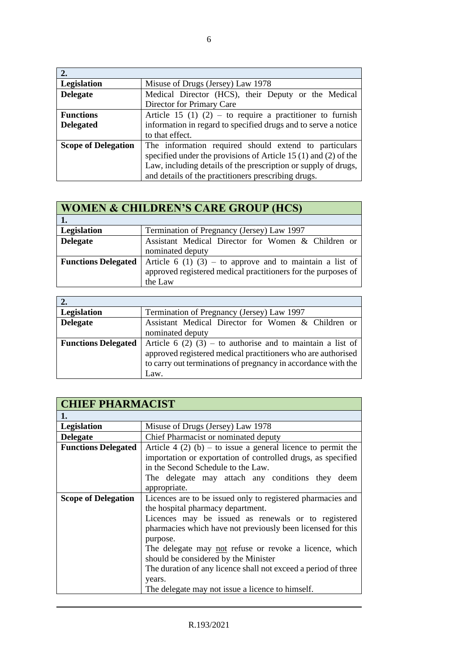| 2.                         |                                                                     |
|----------------------------|---------------------------------------------------------------------|
| Legislation                | Misuse of Drugs (Jersey) Law 1978                                   |
| <b>Delegate</b>            | Medical Director (HCS), their Deputy or the Medical                 |
|                            | Director for Primary Care                                           |
| <b>Functions</b>           | Article 15 (1) (2) – to require a practitioner to furnish           |
| <b>Delegated</b>           | information in regard to specified drugs and to serve a notice      |
|                            | to that effect.                                                     |
| <b>Scope of Delegation</b> | The information required should extend to particulars               |
|                            | specified under the provisions of Article 15 $(1)$ and $(2)$ of the |
|                            | Law, including details of the prescription or supply of drugs,      |
|                            | and details of the practitioners prescribing drugs.                 |

| <b>WOMEN &amp; CHILDREN'S CARE GROUP (HCS)</b> |                                                               |
|------------------------------------------------|---------------------------------------------------------------|
|                                                |                                                               |
| Legislation                                    | Termination of Pregnancy (Jersey) Law 1997                    |
| <b>Delegate</b>                                | Assistant Medical Director for Women & Children or            |
|                                                | nominated deputy                                              |
| <b>Functions Delegated</b>                     | Article 6 (1) (3) – to approve and to maintain a list of      |
|                                                | approved registered medical practitioners for the purposes of |
|                                                | the Law                                                       |

| 2.                         |                                                                                                                                                                                                     |
|----------------------------|-----------------------------------------------------------------------------------------------------------------------------------------------------------------------------------------------------|
| Legislation                | Termination of Pregnancy (Jersey) Law 1997                                                                                                                                                          |
| <b>Delegate</b>            | Assistant Medical Director for Women & Children or                                                                                                                                                  |
|                            | nominated deputy                                                                                                                                                                                    |
| <b>Functions Delegated</b> | Article 6 (2) (3) – to authorise and to maintain a list of<br>approved registered medical practitioners who are authorised<br>to carry out terminations of pregnancy in accordance with the<br>Law. |

| <b>CHIEF PHARMACIST</b>    |                                                                                                                                                                                                                                                                                                                                                                                                                                                                      |
|----------------------------|----------------------------------------------------------------------------------------------------------------------------------------------------------------------------------------------------------------------------------------------------------------------------------------------------------------------------------------------------------------------------------------------------------------------------------------------------------------------|
| 1.                         |                                                                                                                                                                                                                                                                                                                                                                                                                                                                      |
| Legislation                | Misuse of Drugs (Jersey) Law 1978                                                                                                                                                                                                                                                                                                                                                                                                                                    |
| <b>Delegate</b>            | Chief Pharmacist or nominated deputy                                                                                                                                                                                                                                                                                                                                                                                                                                 |
| <b>Functions Delegated</b> | Article 4 (2) (b) – to issue a general licence to permit the<br>importation or exportation of controlled drugs, as specified<br>in the Second Schedule to the Law.<br>The delegate may attach any conditions they deem<br>appropriate.                                                                                                                                                                                                                               |
| <b>Scope of Delegation</b> | Licences are to be issued only to registered pharmacies and<br>the hospital pharmacy department.<br>Licences may be issued as renewals or to registered<br>pharmacies which have not previously been licensed for this<br>purpose.<br>The delegate may not refuse or revoke a licence, which<br>should be considered by the Minister<br>The duration of any licence shall not exceed a period of three<br>years.<br>The delegate may not issue a licence to himself. |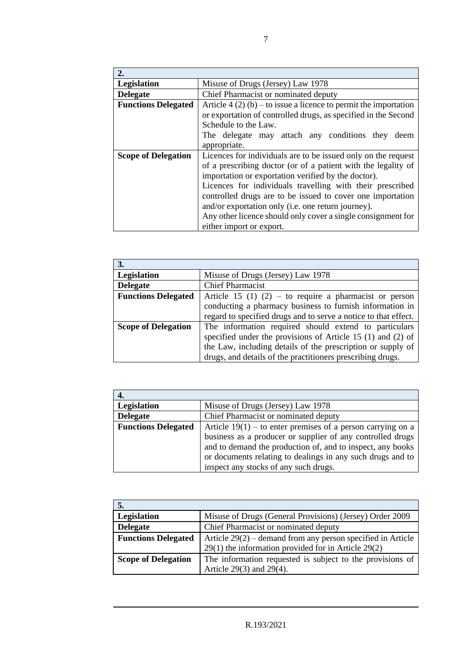| 2.                         |                                                                  |
|----------------------------|------------------------------------------------------------------|
| Legislation                | Misuse of Drugs (Jersey) Law 1978                                |
| <b>Delegate</b>            | Chief Pharmacist or nominated deputy                             |
| <b>Functions Delegated</b> | Article 4 (2) (b) – to issue a licence to permit the importation |
|                            | or exportation of controlled drugs, as specified in the Second   |
|                            | Schedule to the Law.                                             |
|                            | The delegate may attach any conditions they<br>deem              |
|                            | appropriate.                                                     |
| <b>Scope of Delegation</b> | Licences for individuals are to be issued only on the request    |
|                            | of a prescribing doctor (or of a patient with the legality of    |
|                            | importation or exportation verified by the doctor).              |
|                            | Licences for individuals travelling with their prescribed        |
|                            | controlled drugs are to be issued to cover one importation       |
|                            | and/or exportation only (i.e. one return journey).               |
|                            | Any other licence should only cover a single consignment for     |
|                            | either import or export.                                         |

| 3.                         |                                                                 |
|----------------------------|-----------------------------------------------------------------|
| Legislation                | Misuse of Drugs (Jersey) Law 1978                               |
| <b>Delegate</b>            | <b>Chief Pharmacist</b>                                         |
| <b>Functions Delegated</b> | Article 15 (1) $(2)$ – to require a pharmacist or person        |
|                            | conducting a pharmacy business to furnish information in        |
|                            | regard to specified drugs and to serve a notice to that effect. |
| <b>Scope of Delegation</b> | The information required should extend to particulars           |
|                            | specified under the provisions of Article 15 $(1)$ and $(2)$ of |
|                            | the Law, including details of the prescription or supply of     |
|                            | drugs, and details of the practitioners prescribing drugs.      |

| 4.                         |                                                                                                                          |
|----------------------------|--------------------------------------------------------------------------------------------------------------------------|
| Legislation                | Misuse of Drugs (Jersey) Law 1978                                                                                        |
| <b>Delegate</b>            | Chief Pharmacist or nominated deputy                                                                                     |
| <b>Functions Delegated</b> | Article $19(1)$ – to enter premises of a person carrying on a                                                            |
|                            | business as a producer or supplier of any controlled drugs<br>and to demand the production of, and to inspect, any books |
|                            | or documents relating to dealings in any such drugs and to                                                               |
|                            | inspect any stocks of any such drugs.                                                                                    |

| Legislation                | Misuse of Drugs (General Provisions) (Jersey) Order 2009                                                             |
|----------------------------|----------------------------------------------------------------------------------------------------------------------|
| <b>Delegate</b>            | Chief Pharmacist or nominated deputy                                                                                 |
| <b>Functions Delegated</b> | Article $29(2)$ – demand from any person specified in Article<br>29(1) the information provided for in Article 29(2) |
| <b>Scope of Delegation</b> | The information requested is subject to the provisions of                                                            |
|                            | Article $29(3)$ and $29(4)$ .                                                                                        |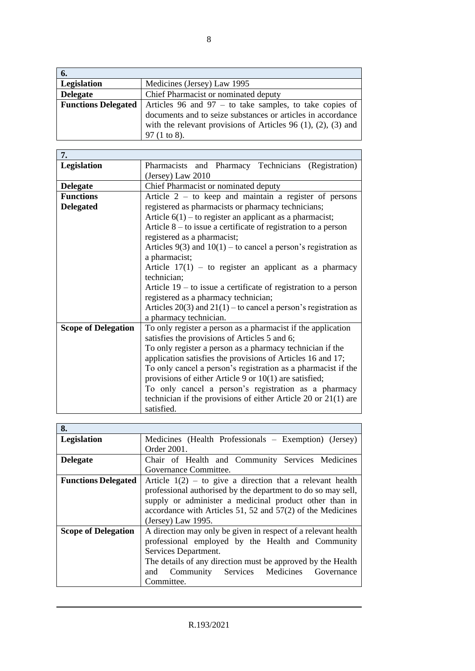| 6.                         |                                                                       |
|----------------------------|-----------------------------------------------------------------------|
| Legislation                | Medicines (Jersey) Law 1995                                           |
| <b>Delegate</b>            | Chief Pharmacist or nominated deputy                                  |
| <b>Functions Delegated</b> | Articles 96 and 97 $-$ to take samples, to take copies of             |
|                            | documents and to seize substances or articles in accordance           |
|                            | with the relevant provisions of Articles 96 $(1)$ , $(2)$ , $(3)$ and |
|                            | 97(1 to 8).                                                           |

| 7.                         |                                                                     |
|----------------------------|---------------------------------------------------------------------|
| Legislation                | Pharmacists and Pharmacy Technicians (Registration)                 |
|                            | (Jersey) Law 2010                                                   |
| <b>Delegate</b>            | Chief Pharmacist or nominated deputy                                |
| <b>Functions</b>           | Article $2 -$ to keep and maintain a register of persons            |
| <b>Delegated</b>           | registered as pharmacists or pharmacy technicians;                  |
|                            | Article $6(1)$ – to register an applicant as a pharmacist;          |
|                            | Article $8 -$ to issue a certificate of registration to a person    |
|                            | registered as a pharmacist;                                         |
|                            | Articles $9(3)$ and $10(1)$ – to cancel a person's registration as  |
|                            | a pharmacist;                                                       |
|                            | Article $17(1)$ – to register an applicant as a pharmacy            |
|                            | technician;                                                         |
|                            | Article $19 -$ to issue a certificate of registration to a person   |
|                            | registered as a pharmacy technician;                                |
|                            | Articles $20(3)$ and $21(1)$ – to cancel a person's registration as |
|                            | a pharmacy technician.                                              |
| <b>Scope of Delegation</b> | To only register a person as a pharmacist if the application        |
|                            | satisfies the provisions of Articles 5 and 6;                       |
|                            | To only register a person as a pharmacy technician if the           |
|                            | application satisfies the provisions of Articles 16 and 17;         |
|                            | To only cancel a person's registration as a pharmacist if the       |
|                            | provisions of either Article 9 or $10(1)$ are satisfied;            |
|                            | To only cancel a person's registration as a pharmacy                |
|                            | technician if the provisions of either Article 20 or $21(1)$ are    |
|                            | satisfied.                                                          |

| 8.                         |                                                               |
|----------------------------|---------------------------------------------------------------|
| Legislation                | Medicines (Health Professionals – Exemption) (Jersey)         |
|                            | Order 2001.                                                   |
| <b>Delegate</b>            | Chair of Health and Community Services Medicines              |
|                            | Governance Committee.                                         |
| <b>Functions Delegated</b> | Article $1(2)$ – to give a direction that a relevant health   |
|                            | professional authorised by the department to do so may sell,  |
|                            | supply or administer a medicinal product other than in        |
|                            | accordance with Articles 51, 52 and 57(2) of the Medicines    |
|                            | (Jersey) Law $1995$ .                                         |
| <b>Scope of Delegation</b> | A direction may only be given in respect of a relevant health |
|                            | professional employed by the Health and Community             |
|                            | Services Department.                                          |
|                            | The details of any direction must be approved by the Health   |
|                            | Community Services Medicines Governance<br>and                |
|                            | Committee.                                                    |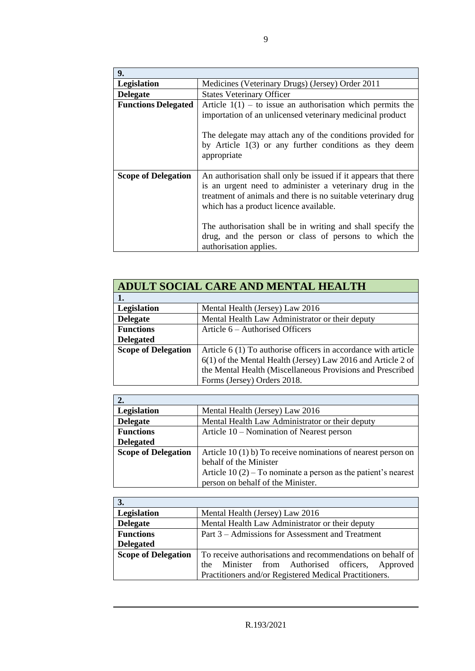| 9.                         |                                                                |
|----------------------------|----------------------------------------------------------------|
| <b>Legislation</b>         | Medicines (Veterinary Drugs) (Jersey) Order 2011               |
| <b>Delegate</b>            | <b>States Veterinary Officer</b>                               |
| <b>Functions Delegated</b> | Article $1(1)$ – to issue an authorisation which permits the   |
|                            | importation of an unlicensed veterinary medicinal product      |
|                            |                                                                |
|                            | The delegate may attach any of the conditions provided for     |
|                            | by Article $1(3)$ or any further conditions as they deem       |
|                            | appropriate                                                    |
|                            |                                                                |
| <b>Scope of Delegation</b> | An authorisation shall only be issued if it appears that there |
|                            | is an urgent need to administer a veterinary drug in the       |
|                            | treatment of animals and there is no suitable veterinary drug  |
|                            | which has a product licence available.                         |
|                            |                                                                |
|                            | The authorisation shall be in writing and shall specify the    |
|                            | drug, and the person or class of persons to which the          |
|                            | authorisation applies.                                         |

| ADULT SOCIAL CARE AND MENTAL HEALTH |                                                                |
|-------------------------------------|----------------------------------------------------------------|
|                                     |                                                                |
| Legislation                         | Mental Health (Jersey) Law 2016                                |
| <b>Delegate</b>                     | Mental Health Law Administrator or their deputy                |
| <b>Functions</b>                    | Article 6 – Authorised Officers                                |
| <b>Delegated</b>                    |                                                                |
| <b>Scope of Delegation</b>          | Article 6 (1) To authorise officers in accordance with article |
|                                     | 6(1) of the Mental Health (Jersey) Law 2016 and Article 2 of   |
|                                     | the Mental Health (Miscellaneous Provisions and Prescribed     |
|                                     | Forms (Jersey) Orders 2018.                                    |

| Legislation                | Mental Health (Jersey) Law 2016                                 |
|----------------------------|-----------------------------------------------------------------|
| <b>Delegate</b>            | Mental Health Law Administrator or their deputy                 |
| <b>Functions</b>           | Article 10 – Nomination of Nearest person                       |
| <b>Delegated</b>           |                                                                 |
| <b>Scope of Delegation</b> | Article 10 (1) b) To receive nominations of nearest person on   |
|                            | behalf of the Minister                                          |
|                            | Article $10(2)$ – To nominate a person as the patient's nearest |
|                            | person on behalf of the Minister.                               |

| 3.                         |                                                            |
|----------------------------|------------------------------------------------------------|
| Legislation                | Mental Health (Jersey) Law 2016                            |
| <b>Delegate</b>            | Mental Health Law Administrator or their deputy            |
| <b>Functions</b>           | Part 3 – Admissions for Assessment and Treatment           |
| <b>Delegated</b>           |                                                            |
| <b>Scope of Delegation</b> | To receive authorisations and recommendations on behalf of |
|                            | Minister from Authorised officers, Approved<br>the         |
|                            | Practitioners and/or Registered Medical Practitioners.     |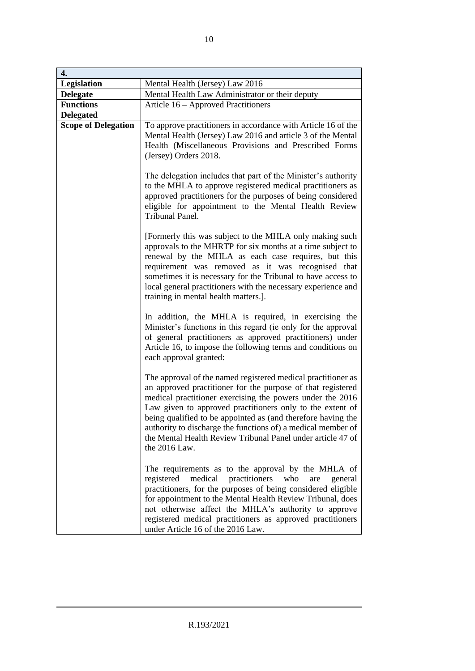| 4.                                   |                                                                                                                                                                                                                                                                                                                                                                                                                                                                       |
|--------------------------------------|-----------------------------------------------------------------------------------------------------------------------------------------------------------------------------------------------------------------------------------------------------------------------------------------------------------------------------------------------------------------------------------------------------------------------------------------------------------------------|
| Legislation                          | Mental Health (Jersey) Law 2016                                                                                                                                                                                                                                                                                                                                                                                                                                       |
| <b>Delegate</b>                      | Mental Health Law Administrator or their deputy                                                                                                                                                                                                                                                                                                                                                                                                                       |
| <b>Functions</b><br><b>Delegated</b> | Article 16 - Approved Practitioners                                                                                                                                                                                                                                                                                                                                                                                                                                   |
| <b>Scope of Delegation</b>           | To approve practitioners in accordance with Article 16 of the<br>Mental Health (Jersey) Law 2016 and article 3 of the Mental<br>Health (Miscellaneous Provisions and Prescribed Forms<br>(Jersey) Orders 2018.                                                                                                                                                                                                                                                        |
|                                      | The delegation includes that part of the Minister's authority<br>to the MHLA to approve registered medical practitioners as<br>approved practitioners for the purposes of being considered<br>eligible for appointment to the Mental Health Review<br>Tribunal Panel.                                                                                                                                                                                                 |
|                                      | [Formerly this was subject to the MHLA only making such<br>approvals to the MHRTP for six months at a time subject to<br>renewal by the MHLA as each case requires, but this<br>requirement was removed as it was recognised that<br>sometimes it is necessary for the Tribunal to have access to<br>local general practitioners with the necessary experience and<br>training in mental health matters.].                                                            |
|                                      | In addition, the MHLA is required, in exercising the<br>Minister's functions in this regard (ie only for the approval<br>of general practitioners as approved practitioners) under<br>Article 16, to impose the following terms and conditions on<br>each approval granted:                                                                                                                                                                                           |
|                                      | The approval of the named registered medical practitioner as<br>an approved practitioner for the purpose of that registered<br>medical practitioner exercising the powers under the 2016<br>Law given to approved practitioners only to the extent of<br>being qualified to be appointed as (and therefore having the<br>authority to discharge the functions of) a medical member of<br>the Mental Health Review Tribunal Panel under article 47 of<br>the 2016 Law. |
|                                      | The requirements as to the approval by the MHLA of<br>practitioners<br>registered<br>medical<br>who<br>are<br>general<br>practitioners, for the purposes of being considered eligible<br>for appointment to the Mental Health Review Tribunal, does<br>not otherwise affect the MHLA's authority to approve<br>registered medical practitioners as approved practitioners<br>under Article 16 of the 2016 Law.                                                        |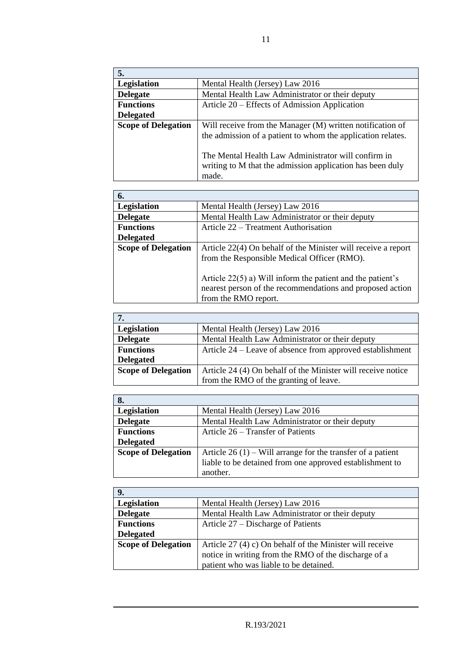| 5.                         |                                                             |
|----------------------------|-------------------------------------------------------------|
| Legislation                | Mental Health (Jersey) Law 2016                             |
| <b>Delegate</b>            | Mental Health Law Administrator or their deputy             |
| <b>Functions</b>           | Article 20 – Effects of Admission Application               |
| <b>Delegated</b>           |                                                             |
| <b>Scope of Delegation</b> | Will receive from the Manager (M) written notification of   |
|                            | the admission of a patient to whom the application relates. |
|                            |                                                             |
|                            | The Mental Health Law Administrator will confirm in         |
|                            | writing to M that the admission application has been duly   |
|                            | made.                                                       |

| 6.                         |                                                               |
|----------------------------|---------------------------------------------------------------|
| <b>Legislation</b>         | Mental Health (Jersey) Law 2016                               |
| <b>Delegate</b>            | Mental Health Law Administrator or their deputy               |
| <b>Functions</b>           | Article 22 – Treatment Authorisation                          |
| <b>Delegated</b>           |                                                               |
| <b>Scope of Delegation</b> | Article 22(4) On behalf of the Minister will receive a report |
|                            | from the Responsible Medical Officer (RMO).                   |
|                            |                                                               |
|                            | Article $22(5)$ a) Will inform the patient and the patient's  |
|                            | nearest person of the recommendations and proposed action     |
|                            | from the RMO report.                                          |

| Legislation                | Mental Health (Jersey) Law 2016                              |
|----------------------------|--------------------------------------------------------------|
| <b>Delegate</b>            | Mental Health Law Administrator or their deputy              |
| <b>Functions</b>           | Article 24 – Leave of absence from approved establishment    |
| <b>Delegated</b>           |                                                              |
| <b>Scope of Delegation</b> | Article 24 (4) On behalf of the Minister will receive notice |
|                            | from the RMO of the granting of leave.                       |

| 8.                         |                                                              |
|----------------------------|--------------------------------------------------------------|
| Legislation                | Mental Health (Jersey) Law 2016                              |
| <b>Delegate</b>            | Mental Health Law Administrator or their deputy              |
| <b>Functions</b>           | Article 26 – Transfer of Patients                            |
| <b>Delegated</b>           |                                                              |
| <b>Scope of Delegation</b> | Article $26(1)$ – Will arrange for the transfer of a patient |
|                            | liable to be detained from one approved establishment to     |
|                            | another.                                                     |

| 9.                         |                                                           |
|----------------------------|-----------------------------------------------------------|
| <b>Legislation</b>         | Mental Health (Jersey) Law 2016                           |
| <b>Delegate</b>            | Mental Health Law Administrator or their deputy           |
| <b>Functions</b>           | Article 27 – Discharge of Patients                        |
| <b>Delegated</b>           |                                                           |
| <b>Scope of Delegation</b> | Article $27(4)$ c) On behalf of the Minister will receive |
|                            | notice in writing from the RMO of the discharge of a      |
|                            | patient who was liable to be detained.                    |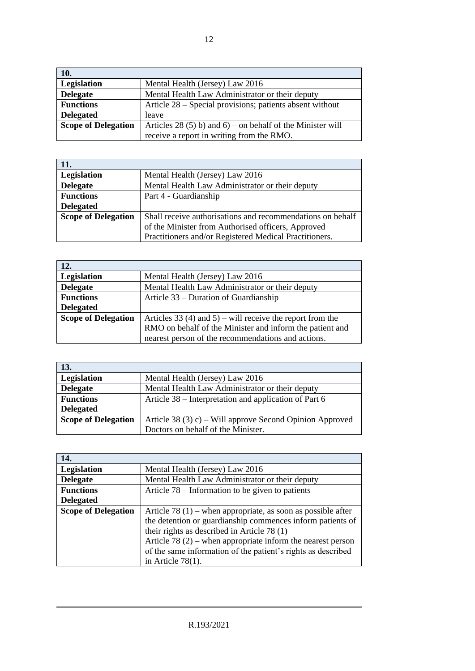| 10.                        |                                                            |
|----------------------------|------------------------------------------------------------|
| Legislation                | Mental Health (Jersey) Law 2016                            |
| <b>Delegate</b>            | Mental Health Law Administrator or their deputy            |
| <b>Functions</b>           | Article 28 – Special provisions; patients absent without   |
| <b>Delegated</b>           | leave                                                      |
| <b>Scope of Delegation</b> | Articles 28 (5) b) and 6) – on behalf of the Minister will |
|                            | receive a report in writing from the RMO.                  |

| 11.                        |                                                            |
|----------------------------|------------------------------------------------------------|
| Legislation                | Mental Health (Jersey) Law 2016                            |
| <b>Delegate</b>            | Mental Health Law Administrator or their deputy            |
| <b>Functions</b>           | Part 4 - Guardianship                                      |
| <b>Delegated</b>           |                                                            |
| <b>Scope of Delegation</b> | Shall receive authorisations and recommendations on behalf |
|                            | of the Minister from Authorised officers, Approved         |
|                            | Practitioners and/or Registered Medical Practitioners.     |

| 12.                        |                                                           |
|----------------------------|-----------------------------------------------------------|
| Legislation                | Mental Health (Jersey) Law 2016                           |
| <b>Delegate</b>            | Mental Health Law Administrator or their deputy           |
| <b>Functions</b>           | Article 33 – Duration of Guardianship                     |
| <b>Delegated</b>           |                                                           |
| <b>Scope of Delegation</b> | Articles 33 (4) and 5) – will receive the report from the |
|                            | RMO on behalf of the Minister and inform the patient and  |
|                            | nearest person of the recommendations and actions.        |

| 13.                        |                                                          |
|----------------------------|----------------------------------------------------------|
| Legislation                | Mental Health (Jersey) Law 2016                          |
| <b>Delegate</b>            | Mental Health Law Administrator or their deputy          |
| <b>Functions</b>           | Article 38 – Interpretation and application of Part 6    |
| <b>Delegated</b>           |                                                          |
| <b>Scope of Delegation</b> | Article 38 (3) c) – Will approve Second Opinion Approved |
|                            | Doctors on behalf of the Minister.                       |

| 14.                        |                                                               |
|----------------------------|---------------------------------------------------------------|
| Legislation                | Mental Health (Jersey) Law 2016                               |
| <b>Delegate</b>            | Mental Health Law Administrator or their deputy               |
| <b>Functions</b>           | Article $78$ – Information to be given to patients            |
| <b>Delegated</b>           |                                                               |
| <b>Scope of Delegation</b> | Article 78 (1) – when appropriate, as soon as possible after  |
|                            | the detention or guardianship commences inform patients of    |
|                            | their rights as described in Article 78 $(1)$                 |
|                            | Article 78 $(2)$ – when appropriate inform the nearest person |
|                            | of the same information of the patient's rights as described  |
|                            | in Article $78(1)$ .                                          |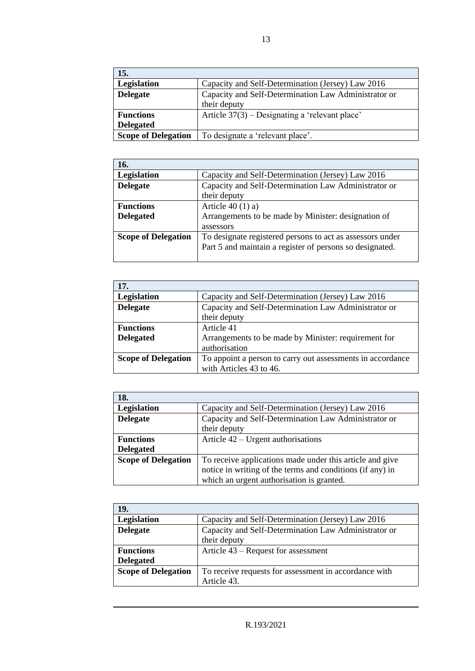| 15.                        |                                                      |
|----------------------------|------------------------------------------------------|
| <b>Legislation</b>         | Capacity and Self-Determination (Jersey) Law 2016    |
| <b>Delegate</b>            | Capacity and Self-Determination Law Administrator or |
|                            | their deputy                                         |
| <b>Functions</b>           | Article $37(3)$ – Designating a 'relevant place'     |
| <b>Delegated</b>           |                                                      |
| <b>Scope of Delegation</b> | To designate a 'relevant place'.                     |

| 16.                        |                                                           |
|----------------------------|-----------------------------------------------------------|
| Legislation                | Capacity and Self-Determination (Jersey) Law 2016         |
| <b>Delegate</b>            | Capacity and Self-Determination Law Administrator or      |
|                            | their deputy                                              |
| <b>Functions</b>           | Article $40(1)$ a)                                        |
| <b>Delegated</b>           | Arrangements to be made by Minister: designation of       |
|                            | assessors                                                 |
| <b>Scope of Delegation</b> | To designate registered persons to act as assessors under |
|                            | Part 5 and maintain a register of persons so designated.  |
|                            |                                                           |

| 17.                        |                                                            |
|----------------------------|------------------------------------------------------------|
| Legislation                | Capacity and Self-Determination (Jersey) Law 2016          |
| <b>Delegate</b>            | Capacity and Self-Determination Law Administrator or       |
|                            | their deputy                                               |
| <b>Functions</b>           | Article 41                                                 |
| <b>Delegated</b>           | Arrangements to be made by Minister: requirement for       |
|                            | authorisation                                              |
| <b>Scope of Delegation</b> | To appoint a person to carry out assessments in accordance |
|                            | with Articles 43 to 46.                                    |

| 18.                        |                                                           |
|----------------------------|-----------------------------------------------------------|
| Legislation                | Capacity and Self-Determination (Jersey) Law 2016         |
| <b>Delegate</b>            | Capacity and Self-Determination Law Administrator or      |
|                            | their deputy                                              |
| <b>Functions</b>           | Article $42$ – Urgent authorisations                      |
| <b>Delegated</b>           |                                                           |
| <b>Scope of Delegation</b> | To receive applications made under this article and give  |
|                            | notice in writing of the terms and conditions (if any) in |
|                            | which an urgent authorisation is granted.                 |

| 19.                        |                                                       |
|----------------------------|-------------------------------------------------------|
| Legislation                | Capacity and Self-Determination (Jersey) Law 2016     |
| <b>Delegate</b>            | Capacity and Self-Determination Law Administrator or  |
|                            | their deputy                                          |
| <b>Functions</b>           | Article 43 – Request for assessment                   |
| <b>Delegated</b>           |                                                       |
| <b>Scope of Delegation</b> | To receive requests for assessment in accordance with |
|                            | Article 43.                                           |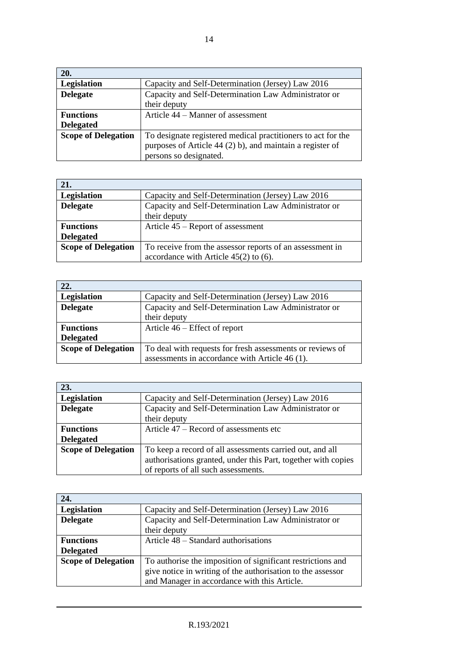| 20.                        |                                                              |
|----------------------------|--------------------------------------------------------------|
| Legislation                | Capacity and Self-Determination (Jersey) Law 2016            |
| <b>Delegate</b>            | Capacity and Self-Determination Law Administrator or         |
|                            | their deputy                                                 |
| <b>Functions</b>           | Article 44 – Manner of assessment                            |
| <b>Delegated</b>           |                                                              |
| <b>Scope of Delegation</b> | To designate registered medical practitioners to act for the |
|                            | purposes of Article 44 (2) b), and maintain a register of    |
|                            | persons so designated.                                       |

| 21.                        |                                                          |
|----------------------------|----------------------------------------------------------|
| Legislation                | Capacity and Self-Determination (Jersey) Law 2016        |
| <b>Delegate</b>            | Capacity and Self-Determination Law Administrator or     |
|                            | their deputy                                             |
| <b>Functions</b>           | Article 45 – Report of assessment                        |
| <b>Delegated</b>           |                                                          |
| <b>Scope of Delegation</b> | To receive from the assessor reports of an assessment in |
|                            | accordance with Article $45(2)$ to $(6)$ .               |

| 22.                        |                                                           |
|----------------------------|-----------------------------------------------------------|
| Legislation                | Capacity and Self-Determination (Jersey) Law 2016         |
| <b>Delegate</b>            | Capacity and Self-Determination Law Administrator or      |
|                            | their deputy                                              |
| <b>Functions</b>           | Article $46$ – Effect of report                           |
| <b>Delegated</b>           |                                                           |
| <b>Scope of Delegation</b> | To deal with requests for fresh assessments or reviews of |
|                            | assessments in accordance with Article 46 (1).            |

| 23.                        |                                                               |
|----------------------------|---------------------------------------------------------------|
| Legislation                | Capacity and Self-Determination (Jersey) Law 2016             |
| <b>Delegate</b>            | Capacity and Self-Determination Law Administrator or          |
|                            | their deputy                                                  |
| <b>Functions</b>           | Article 47 – Record of assessments etc                        |
| <b>Delegated</b>           |                                                               |
| <b>Scope of Delegation</b> | To keep a record of all assessments carried out, and all      |
|                            | authorisations granted, under this Part, together with copies |
|                            | of reports of all such assessments.                           |

| 24.                        |                                                             |
|----------------------------|-------------------------------------------------------------|
| Legislation                | Capacity and Self-Determination (Jersey) Law 2016           |
| <b>Delegate</b>            | Capacity and Self-Determination Law Administrator or        |
|                            | their deputy                                                |
| <b>Functions</b>           | Article 48 – Standard authorisations                        |
| <b>Delegated</b>           |                                                             |
| <b>Scope of Delegation</b> | To authorise the imposition of significant restrictions and |
|                            | give notice in writing of the authorisation to the assessor |
|                            | and Manager in accordance with this Article.                |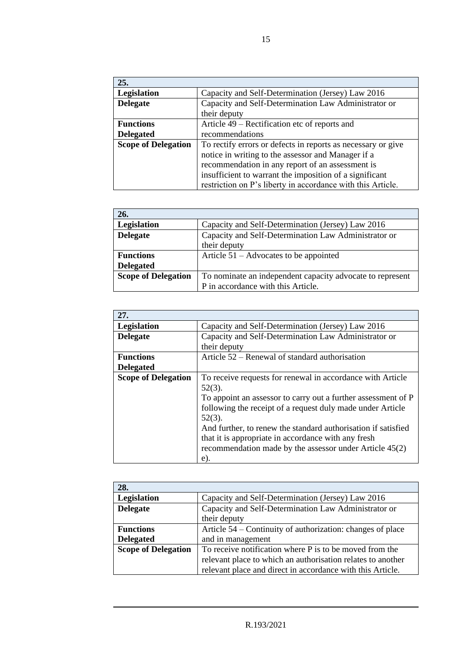| 25.                        |                                                              |
|----------------------------|--------------------------------------------------------------|
| Legislation                | Capacity and Self-Determination (Jersey) Law 2016            |
| <b>Delegate</b>            | Capacity and Self-Determination Law Administrator or         |
|                            | their deputy                                                 |
| <b>Functions</b>           | Article 49 – Rectification etc of reports and                |
| <b>Delegated</b>           | recommendations                                              |
| <b>Scope of Delegation</b> | To rectify errors or defects in reports as necessary or give |
|                            | notice in writing to the assessor and Manager if a           |
|                            | recommendation in any report of an assessment is             |
|                            | insufficient to warrant the imposition of a significant      |
|                            | restriction on P's liberty in accordance with this Article.  |

| 26.                        |                                                           |
|----------------------------|-----------------------------------------------------------|
| Legislation                | Capacity and Self-Determination (Jersey) Law 2016         |
| <b>Delegate</b>            | Capacity and Self-Determination Law Administrator or      |
|                            | their deputy                                              |
| <b>Functions</b>           | Article $51 -$ Advocates to be appointed                  |
| <b>Delegated</b>           |                                                           |
| <b>Scope of Delegation</b> | To nominate an independent capacity advocate to represent |
|                            | P in accordance with this Article.                        |

| 27.                        |                                                               |
|----------------------------|---------------------------------------------------------------|
| Legislation                | Capacity and Self-Determination (Jersey) Law 2016             |
| <b>Delegate</b>            | Capacity and Self-Determination Law Administrator or          |
|                            | their deputy                                                  |
| <b>Functions</b>           | Article 52 – Renewal of standard authorisation                |
| <b>Delegated</b>           |                                                               |
| <b>Scope of Delegation</b> | To receive requests for renewal in accordance with Article    |
|                            | $52(3)$ .                                                     |
|                            | To appoint an assessor to carry out a further assessment of P |
|                            | following the receipt of a request duly made under Article    |
|                            | $52(3)$ .                                                     |
|                            | And further, to renew the standard authorisation if satisfied |
|                            | that it is appropriate in accordance with any fresh           |
|                            | recommendation made by the assessor under Article 45(2)       |
|                            | e).                                                           |

| 28.                        |                                                             |
|----------------------------|-------------------------------------------------------------|
| Legislation                | Capacity and Self-Determination (Jersey) Law 2016           |
| <b>Delegate</b>            | Capacity and Self-Determination Law Administrator or        |
|                            | their deputy                                                |
| <b>Functions</b>           | Article 54 – Continuity of authorization: changes of place  |
| <b>Delegated</b>           | and in management                                           |
| <b>Scope of Delegation</b> | To receive notification where P is to be moved from the     |
|                            | relevant place to which an authorisation relates to another |
|                            | relevant place and direct in accordance with this Article.  |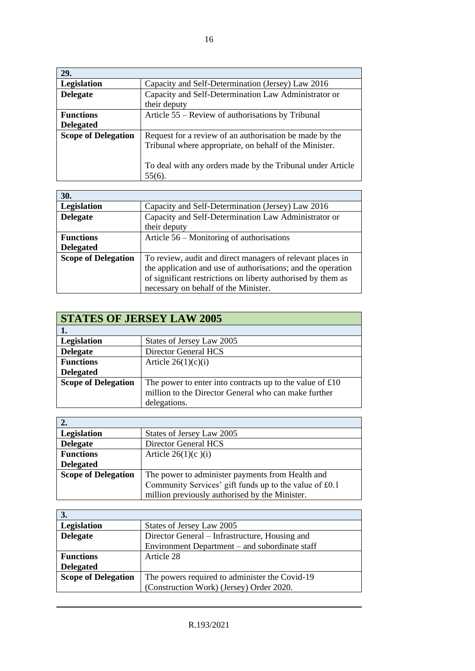| 29.                        |                                                            |
|----------------------------|------------------------------------------------------------|
| Legislation                | Capacity and Self-Determination (Jersey) Law 2016          |
| <b>Delegate</b>            | Capacity and Self-Determination Law Administrator or       |
|                            | their deputy                                               |
| <b>Functions</b>           | Article 55 – Review of authorisations by Tribunal          |
| <b>Delegated</b>           |                                                            |
| <b>Scope of Delegation</b> | Request for a review of an authorisation be made by the    |
|                            | Tribunal where appropriate, on behalf of the Minister.     |
|                            |                                                            |
|                            | To deal with any orders made by the Tribunal under Article |
|                            | $55(6)$ .                                                  |

| 30.                        |                                                              |
|----------------------------|--------------------------------------------------------------|
| Legislation                | Capacity and Self-Determination (Jersey) Law 2016            |
| <b>Delegate</b>            | Capacity and Self-Determination Law Administrator or         |
|                            | their deputy                                                 |
| <b>Functions</b>           | Article 56 – Monitoring of authorisations                    |
| <b>Delegated</b>           |                                                              |
| <b>Scope of Delegation</b> | To review, audit and direct managers of relevant places in   |
|                            | the application and use of authorisations; and the operation |
|                            | of significant restrictions on liberty authorised by them as |
|                            | necessary on behalf of the Minister.                         |

| <b>STATES OF JERSEY LAW 2005</b> |                                                                                                                                                 |  |
|----------------------------------|-------------------------------------------------------------------------------------------------------------------------------------------------|--|
|                                  |                                                                                                                                                 |  |
| Legislation                      | States of Jersey Law 2005                                                                                                                       |  |
| <b>Delegate</b>                  | Director General HCS                                                                                                                            |  |
| <b>Functions</b>                 | Article $26(1)(c)(i)$                                                                                                                           |  |
| <b>Delegated</b>                 |                                                                                                                                                 |  |
| <b>Scope of Delegation</b>       | The power to enter into contracts up to the value of $\text{\pounds}10$<br>million to the Director General who can make further<br>delegations. |  |

| 2.                         |                                                        |  |
|----------------------------|--------------------------------------------------------|--|
| Legislation                | States of Jersey Law 2005                              |  |
| <b>Delegate</b>            | Director General HCS                                   |  |
| <b>Functions</b>           | Article $26(1)(c)(i)$                                  |  |
| <b>Delegated</b>           |                                                        |  |
| <b>Scope of Delegation</b> | The power to administer payments from Health and       |  |
|                            | Community Services' gift funds up to the value of £0.1 |  |
|                            | million previously authorised by the Minister.         |  |

| 3.                         |                                                |  |
|----------------------------|------------------------------------------------|--|
| Legislation                | States of Jersey Law 2005                      |  |
| <b>Delegate</b>            | Director General – Infrastructure, Housing and |  |
|                            | Environment Department – and subordinate staff |  |
| <b>Functions</b>           | Article 28                                     |  |
| <b>Delegated</b>           |                                                |  |
| <b>Scope of Delegation</b> | The powers required to administer the Covid-19 |  |
|                            | (Construction Work) (Jersey) Order 2020.       |  |